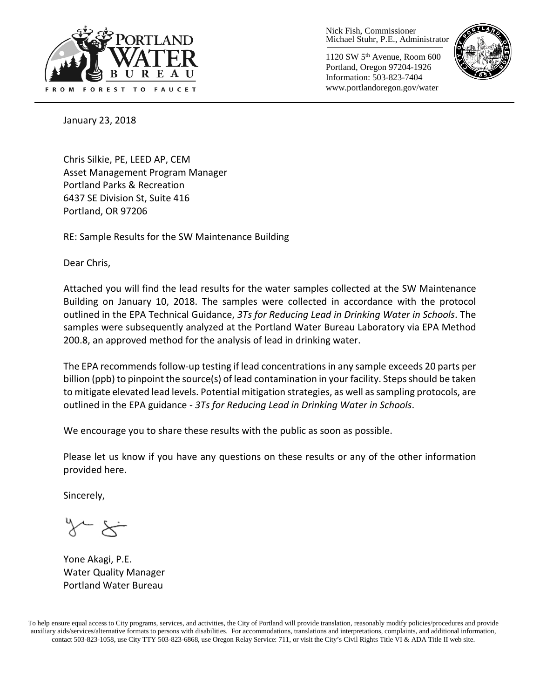

Nick Fish, Commissioner Michael Stuhr, P.E., Administrator

1120 SW 5th Avenue, Room 600 Portland, Oregon 97204-1926 Information: 503-823-7404 www.portlandoregon.gov/water



January 23, 2018

Chris Silkie, PE, LEED AP, CEM Asset Management Program Manager Portland Parks & Recreation 6437 SE Division St, Suite 416 Portland, OR 97206

RE: Sample Results for the SW Maintenance Building

Dear Chris,

Attached you will find the lead results for the water samples collected at the SW Maintenance Building on January 10, 2018. The samples were collected in accordance with the protocol outlined in the EPA Technical Guidance, *3Ts for Reducing Lead in Drinking Water in Schools*. The samples were subsequently analyzed at the Portland Water Bureau Laboratory via EPA Method 200.8, an approved method for the analysis of lead in drinking water.

The EPA recommends follow-up testing if lead concentrations in any sample exceeds 20 parts per billion (ppb) to pinpoint the source(s) of lead contamination in your facility. Steps should be taken to mitigate elevated lead levels. Potential mitigation strategies, as well as sampling protocols, are outlined in the EPA guidance - *3Ts for Reducing Lead in Drinking Water in Schools*.

We encourage you to share these results with the public as soon as possible.

Please let us know if you have any questions on these results or any of the other information provided here.

Sincerely,

Yone Akagi, P.E. Water Quality Manager Portland Water Bureau

To help ensure equal access to City programs, services, and activities, the City of Portland will provide translation, reasonably modify policies/procedures and provide auxiliary aids/services/alternative formats to persons with disabilities. For accommodations, translations and interpretations, complaints, and additional information, contact 503-823-1058, use City TTY 503-823-6868, use Oregon Relay Service: 711, or visi[t the City's Civil Rights Title VI & ADA Title II web site.](http://www.portlandoregon.gov/oehr/66458)